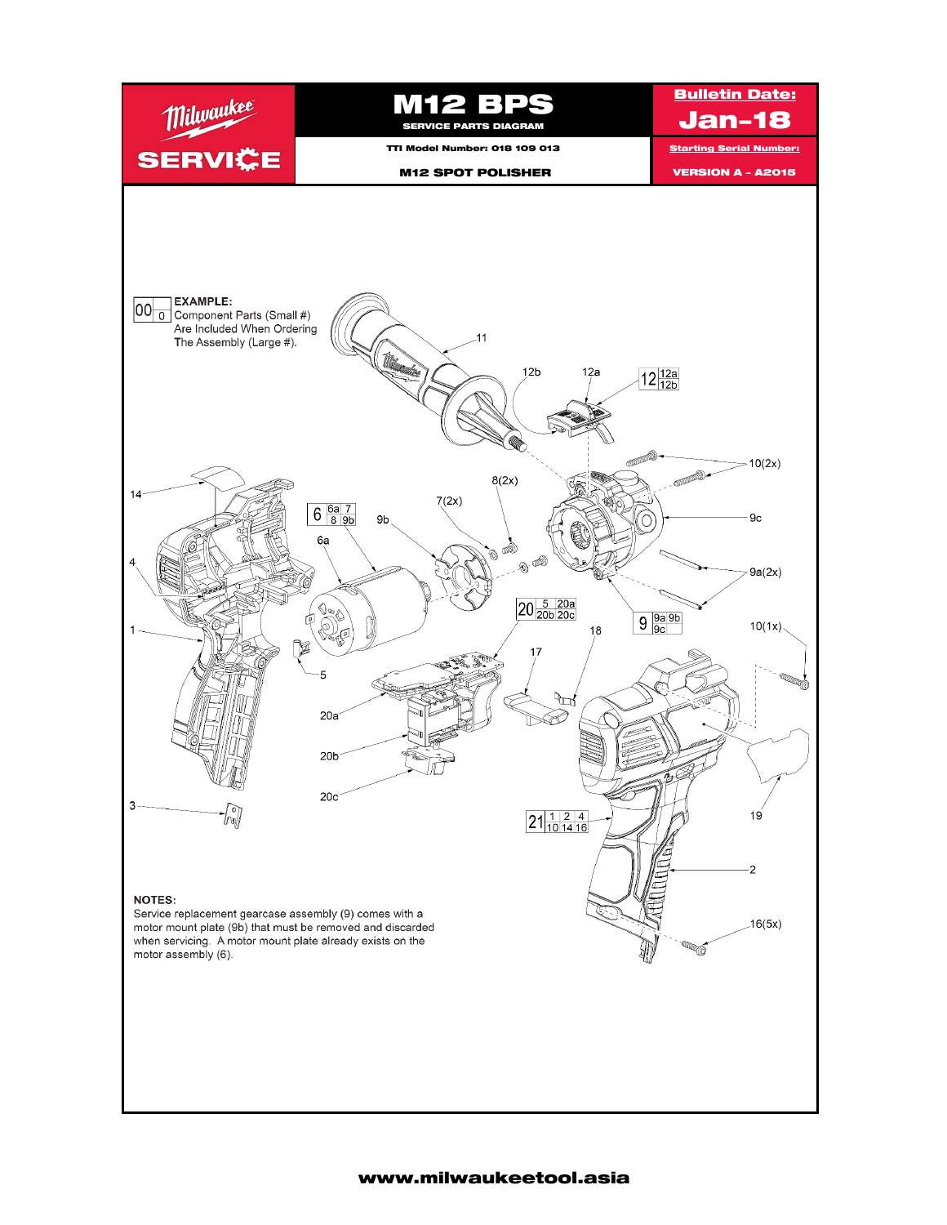

## www.milwaukeetool.asia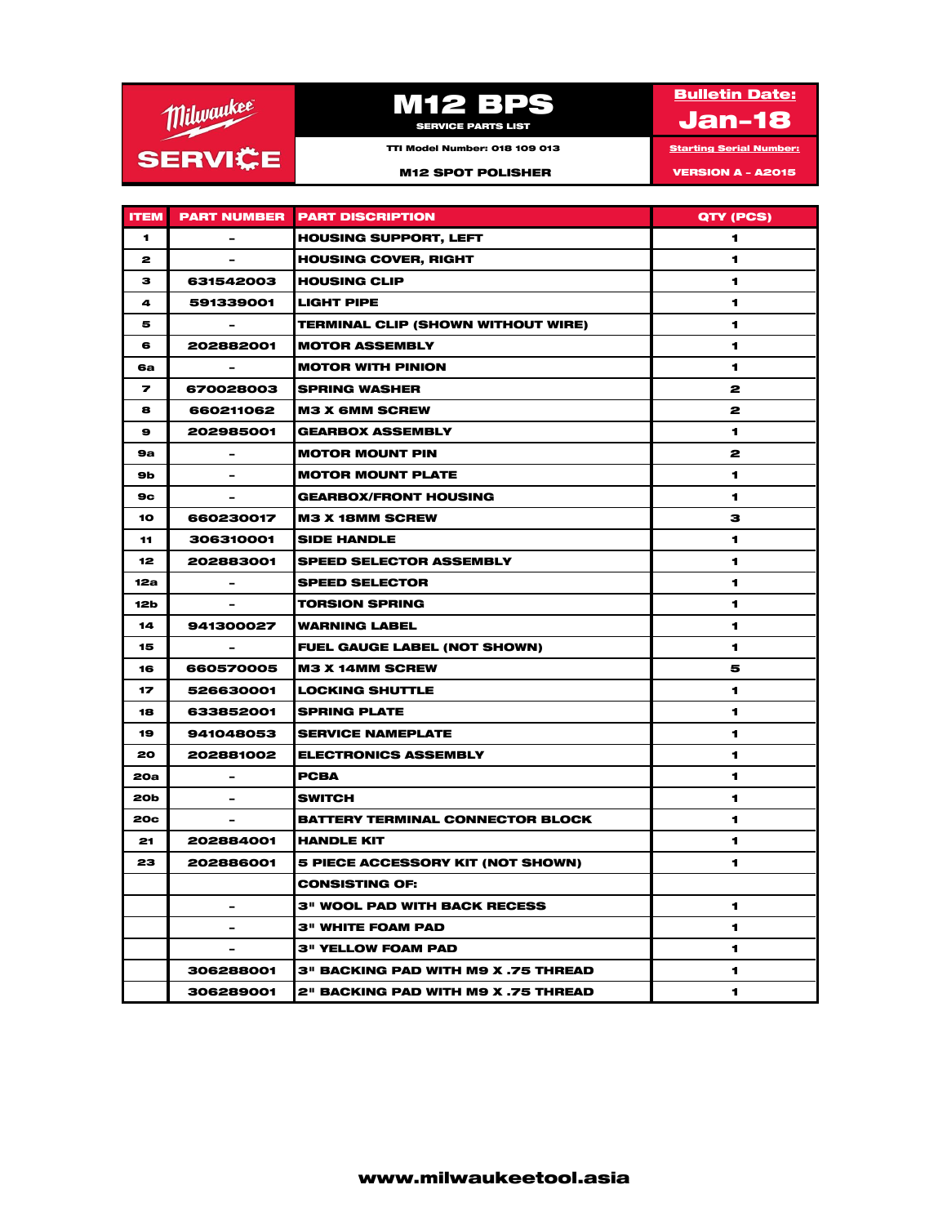

## **M12 BPS**

**Bulletin Date:** 

Jan-18

TTI Model Number: 018 109 013 Starting Serial Number: M12 SPOT POLISHER VERSION A - A2015

**ITEM PART NUMBER PART DISCRIPTION CONSUMING A REAL PROPERTY (PCS)** 1 - HOUSING SUPPORT, LEFT 1 2 - HOUSING COVER, RIGHT 1 3 631542003 HOUSING CLIP 1 4 591339001 LIGHT PIPE 1 5 | CHERMINAL CLIP (SHOWN WITHOUT WIRE) 6 202882001 MOTOR ASSEMBLY 1 6a - MOTOR WITH PINION 1 7 670028003 SPRING WASHER 2 8 660211062 M3 X 6MM SCREW 2 9 202985001 GEARBOX ASSEMBLY 1 9a - MOTOR MOUNT PIN 2 9b | Photor Mount Plate 1 | 1 9c - GEARBOX/FRONT HOUSING 1 10 | 660230017 |M3 X 18MM SCREW **3** 3 11 306310001 SIDE HANDLE 1 2008 1 12 202883001 SPEED SELECTOR ASSEMBLY 1 12a | External SPEED SELECTOR | 1 12b - TORSION SPRING 1999 - 1 14 941300027 WARNING LABEL 1 15 | EUEL GAUGE LABEL (NOT SHOWN) 16 | 660570005 |M3 X 14MM SCREW **5** 17 526630001 LOCKING SHUTTLE 1 18 633852001 SPRING PLATE 1 19 941048053 SERVICE NAMEPLATE 1 20 202881002 ELECTRONICS ASSEMBLY 1 20a - PCBA 1 20b - SWITCH 1 20c **| CONSTRUCT - | BATTERY TERMINAL CONNECTOR BLOCK** | 1 21 202884001 HANDLE KIT 1 23 202886001 5 PIECE ACCESSORY KIT (NOT SHOWN) 1 CONSISTING OF: 3" WOOL PAD WITH BACK RECESS  $\vert$  1 - 3" WHITE FOAM PAD 3" 3" YELLOW FOAM PAD 1 2" YELLOW FOAM PAD 306288001 3" BACKING PAD WITH M9 X .75 THREAD 1 306289001 2" BACKING PAD WITH M9 X .75 THREAD 1